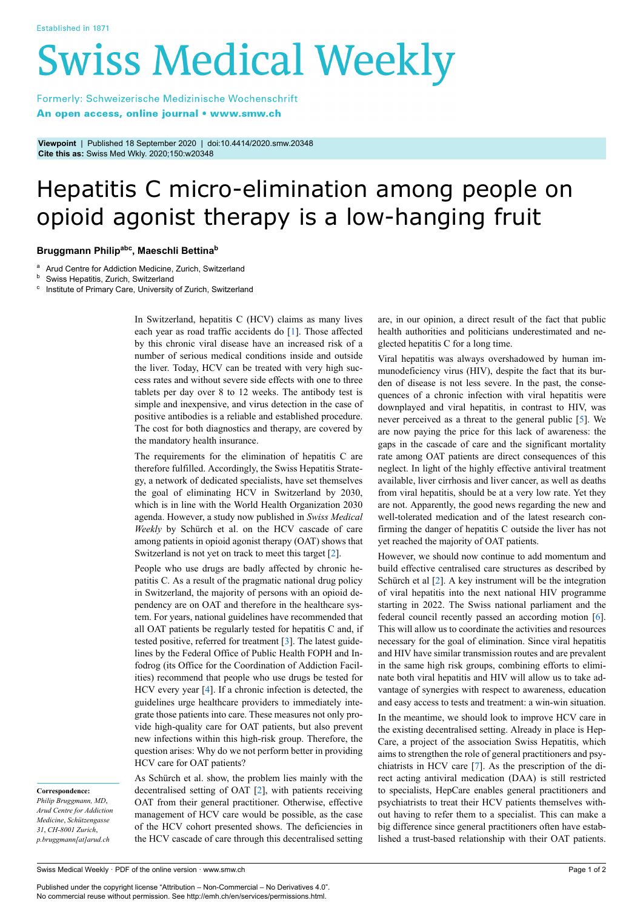# **Swiss Medical Weekly**

Formerly: Schweizerische Medizinische Wochenschrift An open access, online journal • www.smw.ch

**Viewpoint** | Published 18 September 2020 | doi:10.4414/2020.smw.20348 **Cite this as:** Swiss Med Wkly. 2020;150:w20348

## Hepatitis C micro-elimination among people on opioid agonist therapy is a low-hanging fruit

### **Bruggmann Philipabc , Maeschli Bettina<sup>b</sup>**

<sup>a</sup> Arud Centre for Addiction Medicine, Zurich, Switzerland

Swiss Hepatitis, Zurich, Switzerland

<sup>c</sup> Institute of Primary Care, University of Zurich, Switzerland

In Switzerland, hepatitis C (HCV) claims as many lives each year as road traffic accidents do [\[1\]](#page-1-0). Those affected by this chronic viral disease have an increased risk of a number of serious medical conditions inside and outside the liver. Today, HCV can be treated with very high success rates and without severe side effects with one to three tablets per day over 8 to 12 weeks. The antibody test is simple and inexpensive, and virus detection in the case of positive antibodies is a reliable and established procedure. The cost for both diagnostics and therapy, are covered by the mandatory health insurance.

The requirements for the elimination of hepatitis C are therefore fulfilled. Accordingly, the Swiss Hepatitis Strategy, a network of dedicated specialists, have set themselves the goal of eliminating HCV in Switzerland by 2030, which is in line with the World Health Organization 2030 agenda. However, a study now published in *Swiss Medical Weekly* by Schürch et al. on the HCV cascade of care among patients in opioid agonist therapy (OAT) shows that Switzerland is not yet on track to meet this target [[2](#page-1-1)].

People who use drugs are badly affected by chronic hepatitis C. As a result of the pragmatic national drug policy in Switzerland, the majority of persons with an opioid dependency are on OAT and therefore in the healthcare system. For years, national guidelines have recommended that all OAT patients be regularly tested for hepatitis C and, if tested positive, referred for treatment [[3](#page-1-2)]. The latest guidelines by the Federal Office of Public Health FOPH and Infodrog (its Office for the Coordination of Addiction Facilities) recommend that people who use drugs be tested for HCV every year [[4](#page-1-3)]. If a chronic infection is detected, the guidelines urge healthcare providers to immediately integrate those patients into care. These measures not only provide high-quality care for OAT patients, but also prevent new infections within this high-risk group. Therefore, the question arises: Why do we not perform better in providing HCV care for OAT patients?

**Correspondence:** *Philip Bruggmann, MD*, *Arud Centre for Addiction Medicine*, *Schützengasse 31*, *CH-8001 Zurich*, *p.bruggmann[at]arud.ch*

As Schürch et al. show, the problem lies mainly with the decentralised setting of OAT [\[2\]](#page-1-1), with patients receiving OAT from their general practitioner. Otherwise, effective management of HCV care would be possible, as the case of the HCV cohort presented shows. The deficiencies in the HCV cascade of care through this decentralised setting are, in our opinion, a direct result of the fact that public health authorities and politicians underestimated and neglected hepatitis C for a long time.

Viral hepatitis was always overshadowed by human immunodeficiency virus (HIV), despite the fact that its burden of disease is not less severe. In the past, the consequences of a chronic infection with viral hepatitis were downplayed and viral hepatitis, in contrast to HIV, was never perceived as a threat to the general public [\[5\]](#page-1-4). We are now paying the price for this lack of awareness: the gaps in the cascade of care and the significant mortality rate among OAT patients are direct consequences of this neglect. In light of the highly effective antiviral treatment available, liver cirrhosis and liver cancer, as well as deaths from viral hepatitis, should be at a very low rate. Yet they are not. Apparently, the good news regarding the new and well-tolerated medication and of the latest research confirming the danger of hepatitis C outside the liver has not yet reached the majority of OAT patients.

However, we should now continue to add momentum and build effective centralised care structures as described by Schürch et al [\[2\]](#page-1-1). A key instrument will be the integration of viral hepatitis into the next national HIV programme starting in 2022. The Swiss national parliament and the federal council recently passed an according motion [[6](#page-1-5)]. This will allow us to coordinate the activities and resources necessary for the goal of elimination. Since viral hepatitis and HIV have similar transmission routes and are prevalent in the same high risk groups, combining efforts to eliminate both viral hepatitis and HIV will allow us to take advantage of synergies with respect to awareness, education and easy access to tests and treatment: a win-win situation.

In the meantime, we should look to improve HCV care in the existing decentralised setting. Already in place is Hep-Care, a project of the association Swiss Hepatitis, which aims to strengthen the role of general practitioners and psychiatrists in HCV care [[7](#page-1-6)]. As the prescription of the direct acting antiviral medication (DAA) is still restricted to specialists, HepCare enables general practitioners and psychiatrists to treat their HCV patients themselves without having to refer them to a specialist. This can make a big difference since general practitioners often have established a trust-based relationship with their OAT patients.

Published under the copyright license "Attribution – Non-Commercial – No Derivatives 4.0". No commercial reuse without permission. See http://emh.ch/en/services/permissions.html.

Swiss Medical Weekly · PDF of the online version · www.smw.ch